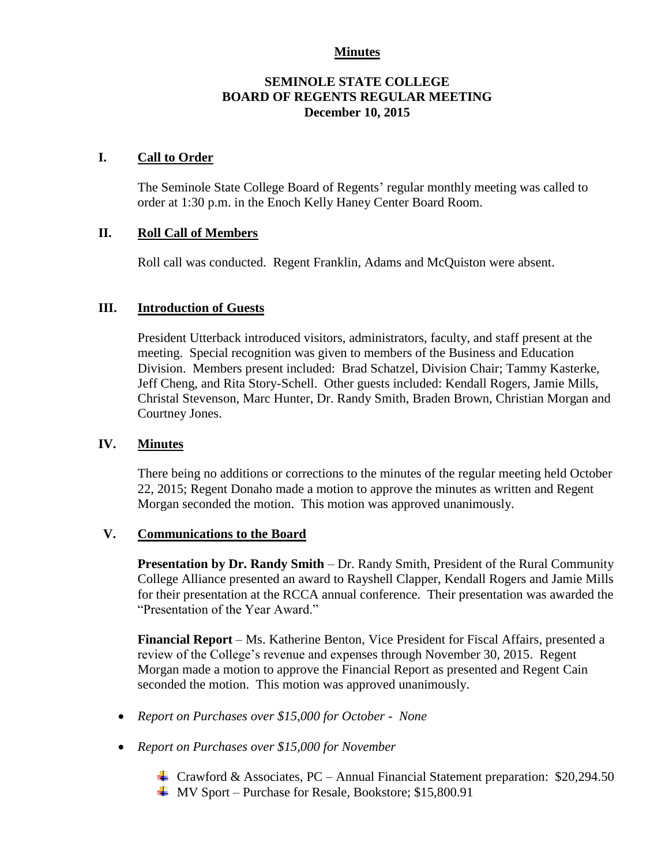#### **Minutes**

#### **SEMINOLE STATE COLLEGE BOARD OF REGENTS REGULAR MEETING December 10, 2015**

#### **I. Call to Order**

The Seminole State College Board of Regents' regular monthly meeting was called to order at 1:30 p.m. in the Enoch Kelly Haney Center Board Room.

#### **II. Roll Call of Members**

Roll call was conducted. Regent Franklin, Adams and McQuiston were absent.

#### **III. Introduction of Guests**

President Utterback introduced visitors, administrators, faculty, and staff present at the meeting. Special recognition was given to members of the Business and Education Division. Members present included: Brad Schatzel, Division Chair; Tammy Kasterke, Jeff Cheng, and Rita Story-Schell. Other guests included: Kendall Rogers, Jamie Mills, Christal Stevenson, Marc Hunter, Dr. Randy Smith, Braden Brown, Christian Morgan and Courtney Jones.

#### **IV. Minutes**

There being no additions or corrections to the minutes of the regular meeting held October 22, 2015; Regent Donaho made a motion to approve the minutes as written and Regent Morgan seconded the motion. This motion was approved unanimously.

#### **V. Communications to the Board**

**Presentation by Dr. Randy Smith** – Dr. Randy Smith, President of the Rural Community College Alliance presented an award to Rayshell Clapper, Kendall Rogers and Jamie Mills for their presentation at the RCCA annual conference. Their presentation was awarded the "Presentation of the Year Award."

**Financial Report** – Ms. Katherine Benton, Vice President for Fiscal Affairs, presented a review of the College's revenue and expenses through November 30, 2015. Regent Morgan made a motion to approve the Financial Report as presented and Regent Cain seconded the motion. This motion was approved unanimously.

- *Report on Purchases over \$15,000 for October - None*
- *Report on Purchases over \$15,000 for November* 
	- Crawford & Associates, PC Annual Financial Statement preparation: \$20,294.50
	- **W** Sport Purchase for Resale, Bookstore; \$15,800.91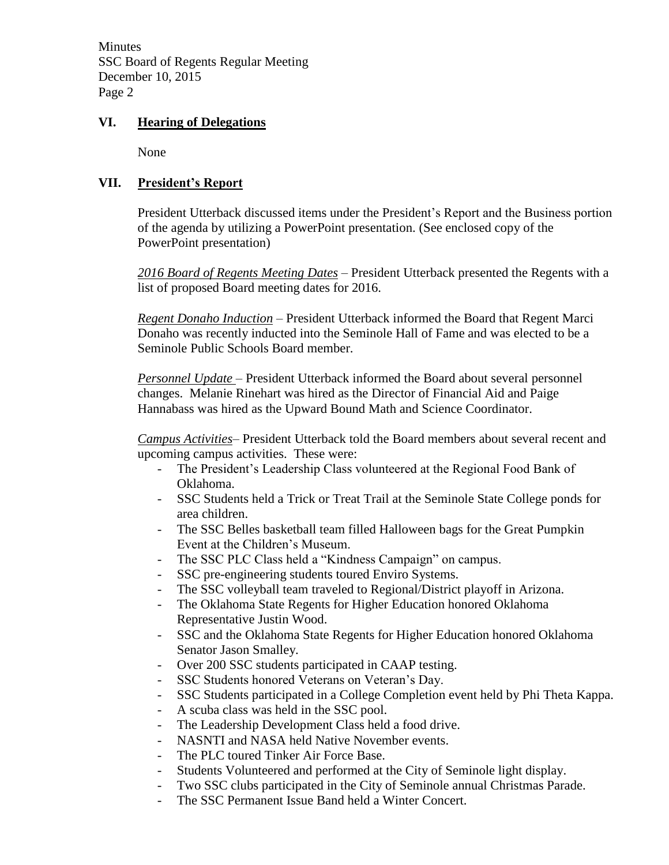**Minutes** SSC Board of Regents Regular Meeting December 10, 2015 Page 2

### **VI. Hearing of Delegations**

None

## **VII. President's Report**

President Utterback discussed items under the President's Report and the Business portion of the agenda by utilizing a PowerPoint presentation. (See enclosed copy of the PowerPoint presentation)

*2016 Board of Regents Meeting Dates* – President Utterback presented the Regents with a list of proposed Board meeting dates for 2016.

*Regent Donaho Induction* – President Utterback informed the Board that Regent Marci Donaho was recently inducted into the Seminole Hall of Fame and was elected to be a Seminole Public Schools Board member.

*Personnel Update* – President Utterback informed the Board about several personnel changes. Melanie Rinehart was hired as the Director of Financial Aid and Paige Hannabass was hired as the Upward Bound Math and Science Coordinator.

*Campus Activities*– President Utterback told the Board members about several recent and upcoming campus activities. These were:

- The President's Leadership Class volunteered at the Regional Food Bank of Oklahoma.
- SSC Students held a Trick or Treat Trail at the Seminole State College ponds for area children.
- The SSC Belles basketball team filled Halloween bags for the Great Pumpkin Event at the Children's Museum.
- The SSC PLC Class held a "Kindness Campaign" on campus.
- SSC pre-engineering students toured Enviro Systems.
- The SSC volleyball team traveled to Regional/District playoff in Arizona.
- The Oklahoma State Regents for Higher Education honored Oklahoma Representative Justin Wood.
- SSC and the Oklahoma State Regents for Higher Education honored Oklahoma Senator Jason Smalley.
- Over 200 SSC students participated in CAAP testing.
- SSC Students honored Veterans on Veteran's Day.
- SSC Students participated in a College Completion event held by Phi Theta Kappa.
- A scuba class was held in the SSC pool.
- The Leadership Development Class held a food drive.
- NASNTI and NASA held Native November events.
- The PLC toured Tinker Air Force Base.
- Students Volunteered and performed at the City of Seminole light display.
- Two SSC clubs participated in the City of Seminole annual Christmas Parade.
- The SSC Permanent Issue Band held a Winter Concert.